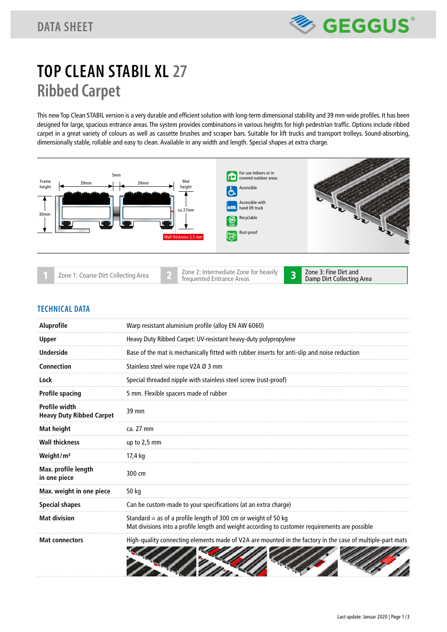## **TOP CLEAN STABIL XL 27 Ribbed Carpet**

This new Top Clean STABIL version is a very durable and efficient solution with long-term dimensional stability and 39 mm-wide profiles. It has been designed for large, spacious entrance areas. The system provides combinations in various heights for high pedestrian traffic. Options include ribbed carpet in a great variety of colours as well as cassette brushes and scraper bars. Suitable for lift trucks and transport trolleys. Sound-absorbing, dimensionally stable, rollable and easy to clean. Available in any width and length. Special shapes at extra charge.



## **TECHNICAL DATA**

| <b>Aluprofile</b>                                | Warp resistant aluminium profile (alloy EN AW 6060)                                                                                                              |  |  |
|--------------------------------------------------|------------------------------------------------------------------------------------------------------------------------------------------------------------------|--|--|
| <b>Upper</b>                                     | Heavy Duty Ribbed Carpet: UV-resistant heavy-duty polypropylene                                                                                                  |  |  |
| <b>Underside</b>                                 | Base of the mat is mechanically fitted with rubber inserts for anti-slip and noise reduction                                                                     |  |  |
| Connection                                       | Stainless steel wire rope V2A Ø 3 mm                                                                                                                             |  |  |
| Lock                                             | Special threaded nipple with stainless steel screw (rust-proof)                                                                                                  |  |  |
| <b>Profile spacing</b>                           | 5 mm. Flexible spacers made of rubber                                                                                                                            |  |  |
| Profile width<br><b>Heavy Duty Ribbed Carpet</b> | 39 mm                                                                                                                                                            |  |  |
| <b>Mat height</b>                                | ca. 27 mm                                                                                                                                                        |  |  |
| <b>Wall thickness</b>                            | up to 2,5 mm                                                                                                                                                     |  |  |
| Weight/ $m2$                                     | 17,4 kg                                                                                                                                                          |  |  |
| Max. profile length<br>in one piece              | 300 cm                                                                                                                                                           |  |  |
| Max. weight in one piece                         | 50 kg                                                                                                                                                            |  |  |
| <b>Special shapes</b>                            | Can be custom-made to your specifications (at an extra charge)                                                                                                   |  |  |
| <b>Mat division</b>                              | Standard = as of a profile length of 300 cm or weight of 50 kg<br>Mat divisions into a profile length and weight according to customer requirements are possible |  |  |
| <b>Mat connectors</b>                            | High-quality connecting elements made of V2A are mounted in the factory in the case of multiple-part mats                                                        |  |  |